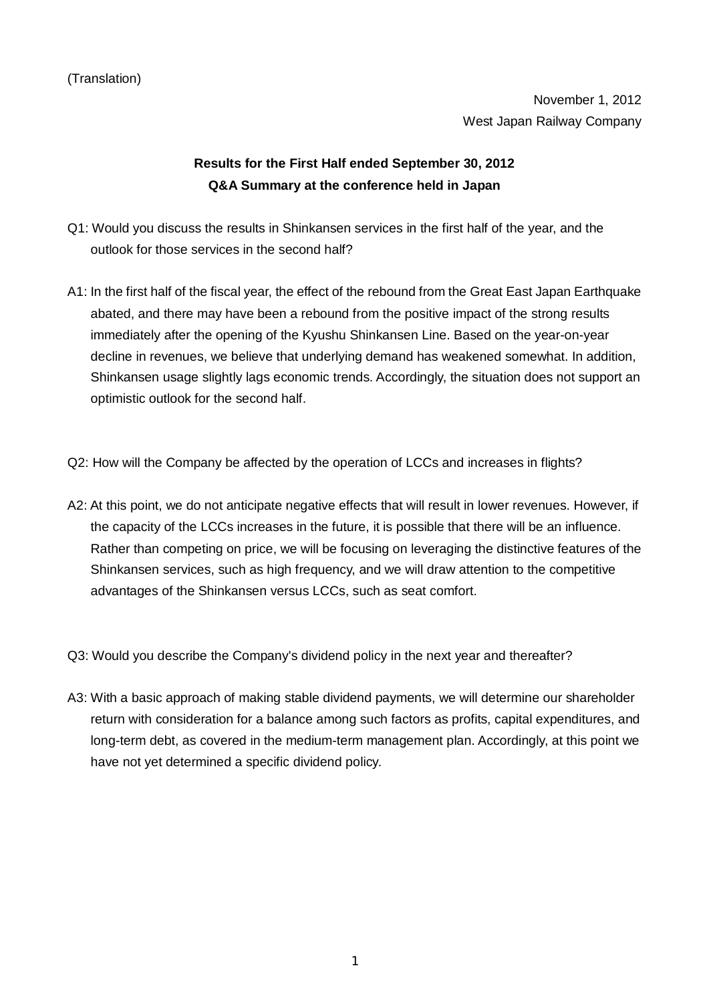November 1, 2012 West Japan Railway Company

## **Results for the First Half ended September 30, 2012 Q&A Summary at the conference held in Japan**

- Q1: Would you discuss the results in Shinkansen services in the first half of the year, and the outlook for those services in the second half?
- A1: In the first half of the fiscal year, the effect of the rebound from the Great East Japan Earthquake abated, and there may have been a rebound from the positive impact of the strong results immediately after the opening of the Kyushu Shinkansen Line. Based on the year-on-year decline in revenues, we believe that underlying demand has weakened somewhat. In addition, Shinkansen usage slightly lags economic trends. Accordingly, the situation does not support an optimistic outlook for the second half.
- Q2: How will the Company be affected by the operation of LCCs and increases in flights?
- A2: At this point, we do not anticipate negative effects that will result in lower revenues. However, if the capacity of the LCCs increases in the future, it is possible that there will be an influence. Rather than competing on price, we will be focusing on leveraging the distinctive features of the Shinkansen services, such as high frequency, and we will draw attention to the competitive advantages of the Shinkansen versus LCCs, such as seat comfort.
- Q3: Would you describe the Company's dividend policy in the next year and thereafter?
- A3: With a basic approach of making stable dividend payments, we will determine our shareholder return with consideration for a balance among such factors as profits, capital expenditures, and long-term debt, as covered in the medium-term management plan. Accordingly, at this point we have not yet determined a specific dividend policy.